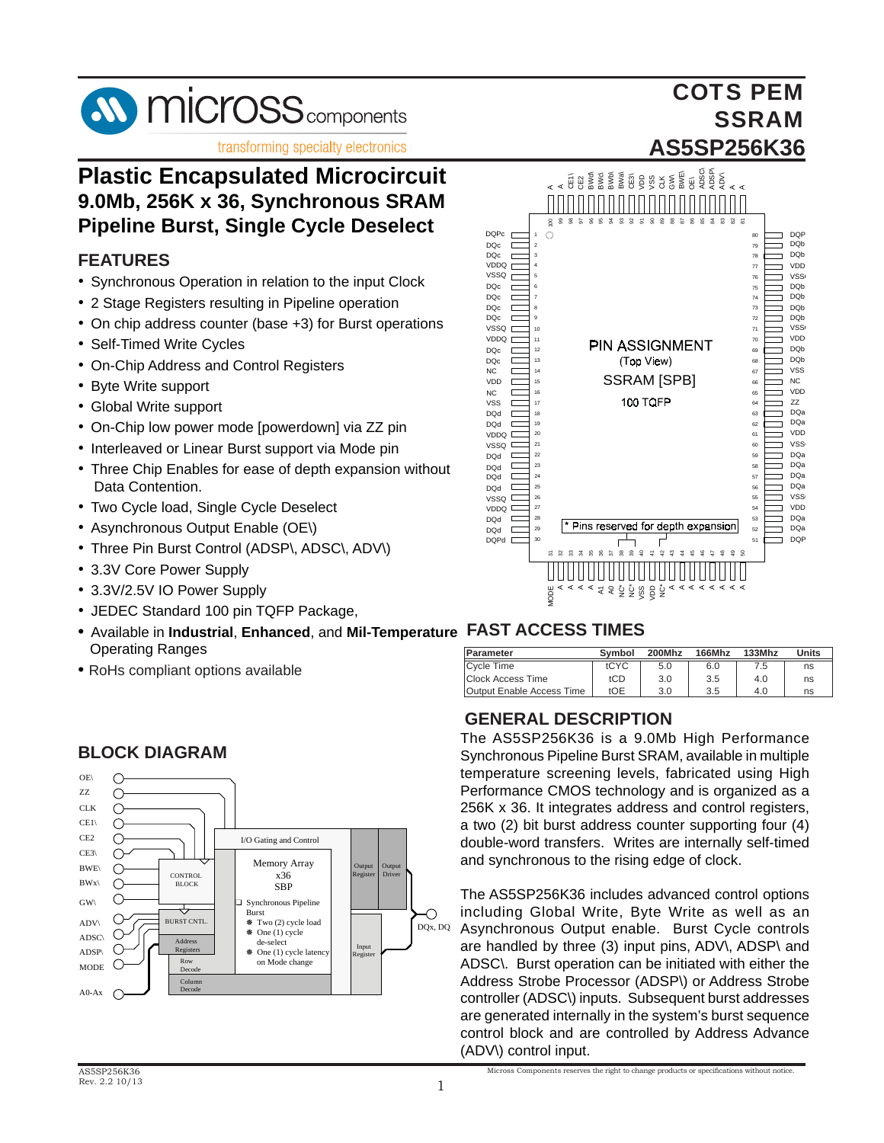

## **Plastic Encapsulated Microcircuit 9.0Mb, 256K x 36, Synchronous SRAM Pipeline Burst, Single Cycle Deselect**

#### **FEATURES**

- Synchronous Operation in relation to the input Clock
- 2 Stage Registers resulting in Pipeline operation
- On chip address counter (base +3) for Burst operations
- Self-Timed Write Cycles
- On-Chip Address and Control Registers
- Byte Write support
- Global Write support
- On-Chip low power mode [powerdown] via ZZ pin
- Interleaved or Linear Burst support via Mode pin
- Three Chip Enables for ease of depth expansion without Data Contention.
- Two Cycle load, Single Cycle Deselect
- Asynchronous Output Enable (OE\)
- Three Pin Burst Control (ADSP\, ADSC\, ADV\)
- 3.3V Core Power Supply
- 3.3V/2.5V IO Power Supply
- JEDEC Standard 100 pin TQFP Package,
- Available in **Industrial**, **Enhanced**, and **Mil-Temperature FAST ACCESS TIMES** Operating Ranges
- RoHs compliant options available



#### **BLOCK DIAGRAM**



COTS PEM

SSRAM

| <b>Parameter</b>                 | Symbol | 200Mhz | <b>166Mhz</b> | 133Mhz | Units |
|----------------------------------|--------|--------|---------------|--------|-------|
| <b>Cycle Time</b>                | tCYC   | 5.0    | 6.0           | 7.5    | ns    |
| <b>Clock Access Time</b>         | tCD    | 3.0    | 3.5           | 4.0    | ns    |
| <b>Output Enable Access Time</b> | tOE    | 3.0    | 3.5           | 4.0    | ns    |

#### **GENERAL DESCRIPTION**

The AS5SP256K36 is a 9.0Mb High Performance Synchronous Pipeline Burst SRAM, available in multiple temperature screening levels, fabricated using High Performance CMOS technology and is organized as a 256K x 36. It integrates address and control registers, a two (2) bit burst address counter supporting four (4) double-word transfers. Writes are internally self-timed and synchronous to the rising edge of clock.

The AS5SP256K36 includes advanced control options including Global Write, Byte Write as well as an Asynchronous Output enable. Burst Cycle controls are handled by three (3) input pins, ADV\, ADSP\ and ADSC\. Burst operation can be initiated with either the Address Strobe Processor (ADSP\) or Address Strobe controller (ADSC\) inputs. Subsequent burst addresses are generated internally in the system's burst sequence control block and are controlled by Address Advance (ADV\) control input.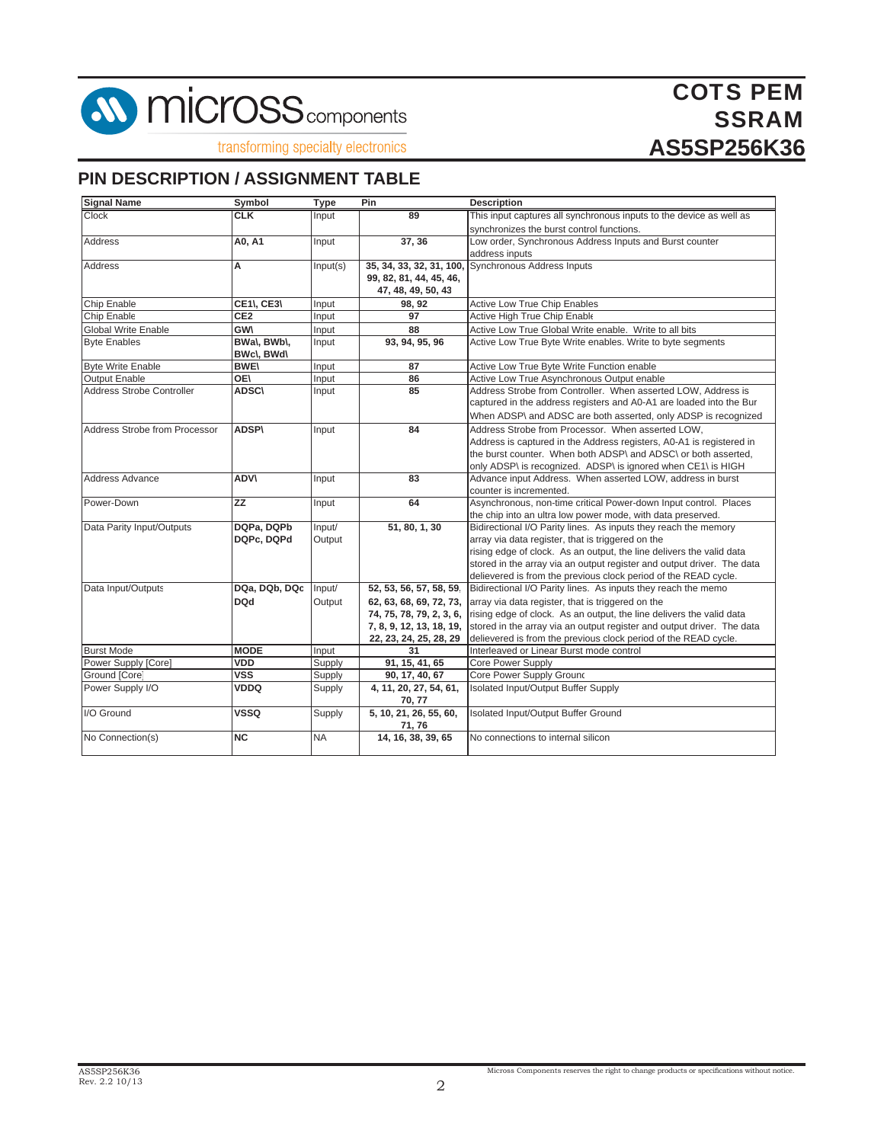

COTS PEM **SSRAM AS5SP256K36**

transforming specialty electronics

#### **PIN DESCRIPTION / ASSIGNMENT TABLE**

| <b>Signal Name</b>            | Symbol          | <b>Type</b> | Pin                         | <b>Description</b>                                                     |
|-------------------------------|-----------------|-------------|-----------------------------|------------------------------------------------------------------------|
| <b>Clock</b>                  | $C_K$           | Input       | 89                          | This input captures all synchronous inputs to the device as well as    |
|                               |                 |             |                             | synchronizes the burst control functions.                              |
| <b>Address</b>                | A0, A1          | Input       | 37, 36                      | Low order, Synchronous Address Inputs and Burst counter                |
|                               |                 |             |                             | address inputs                                                         |
| <b>Address</b>                | A               | Input(s)    | 35, 34, 33, 32, 31, 100,    | Synchronous Address Inputs                                             |
|                               |                 |             | 99, 82, 81, 44, 45, 46,     |                                                                        |
|                               |                 |             | 47, 48, 49, 50, 43          |                                                                        |
| <b>Chip Enable</b>            | CE1\, CE3\      | Input       | 98, 92                      | <b>Active Low True Chip Enables</b>                                    |
| Chip Enable                   | CE <sub>2</sub> | Input       | 97                          | Active High True Chip Enable                                           |
| Global Write Enable           | <b>GW\</b>      | Input       | 88                          | Active Low True Global Write enable. Write to all bits                 |
| <b>Byte Enables</b>           | BWa\, BWb\,     | Input       | 93, 94, 95, 96              | Active Low True Byte Write enables. Write to byte segments             |
|                               | BWc\, BWd\      |             |                             |                                                                        |
| <b>Byte Write Enable</b>      | <b>BWE\</b>     | Input       | 87                          | Active Low True Byte Write Function enable                             |
| <b>Output Enable</b>          | OE\             | Input       | 86                          | Active Low True Asynchronous Output enable                             |
| Address Strobe Controller     | <b>ADSC\</b>    | Input       | 85                          | Address Strobe from Controller. When asserted LOW, Address is          |
|                               |                 |             |                             | captured in the address registers and A0-A1 are loaded into the Bur    |
|                               |                 |             |                             | When ADSP\ and ADSC are both asserted, only ADSP is recognized         |
| Address Strobe from Processor | <b>ADSP\</b>    | Input       | 84                          | Address Strobe from Processor. When asserted LOW.                      |
|                               |                 |             |                             | Address is captured in the Address registers, A0-A1 is registered in   |
|                               |                 |             |                             | the burst counter. When both ADSP\ and ADSC\ or both asserted,         |
|                               |                 |             |                             | only ADSP\ is recognized. ADSP\ is ignored when CE1\ is HIGH           |
| Address Advance               | ADV\            | Input       | 83                          | Advance input Address. When asserted LOW, address in burst             |
|                               |                 |             |                             | counter is incremented.                                                |
| Power-Down                    | ZZ              | Input       | 64                          | Asynchronous, non-time critical Power-down Input control. Places       |
|                               |                 |             |                             | the chip into an ultra low power mode, with data preserved.            |
| Data Parity Input/Outputs     | DQPa, DQPb      | Input/      | 51, 80, 1, 30               | Bidirectional I/O Parity lines. As inputs they reach the memory        |
|                               | DQPc, DQPd      | Output      |                             | array via data register, that is triggered on the                      |
|                               |                 |             |                             | rising edge of clock. As an output, the line delivers the valid data   |
|                               |                 |             |                             | stored in the array via an output register and output driver. The data |
|                               |                 |             |                             | delievered is from the previous clock period of the READ cycle.        |
| Data Input/Outputs            | DQa, DQb, DQc   | Input/      | 52, 53, 56, 57, 58, 59      | Bidirectional I/O Parity lines. As inputs they reach the memo          |
|                               | <b>DQd</b>      | Output      | 62, 63, 68, 69, 72, 73,     | array via data register, that is triggered on the                      |
|                               |                 |             | 74, 75, 78, 79, 2, 3, 6,    | rising edge of clock. As an output, the line delivers the valid data   |
|                               |                 |             | 7, 8, 9, 12, 13, 18, 19,    | stored in the array via an output register and output driver. The data |
|                               |                 |             | 22, 23, 24, 25, 28, 29      | delievered is from the previous clock period of the READ cycle.        |
| <b>Burst Mode</b>             | <b>MODE</b>     | Input       | 31                          | Interleaved or Linear Burst mode control                               |
| Power Supply [Core]           | <b>VDD</b>      | Supply      | $\overline{91, 15, 41, 65}$ | Core Power Supply                                                      |
| Ground [Core]                 | <b>VSS</b>      | Supply      | 90, 17, 40, 67              | Core Power Supply Ground                                               |
| Power Supply I/O              | <b>VDDQ</b>     | Supply      | 4, 11, 20, 27, 54, 61,      | Isolated Input/Output Buffer Supply                                    |
|                               |                 |             | 70, 77                      |                                                                        |
| I/O Ground                    | <b>VSSQ</b>     | Supply      | 5, 10, 21, 26, 55, 60,      | Isolated Input/Output Buffer Ground                                    |
|                               |                 |             | 71, 76                      |                                                                        |
| No Connection(s)              | <b>NC</b>       | <b>NA</b>   | 14, 16, 38, 39, 65          | No connections to internal silicon                                     |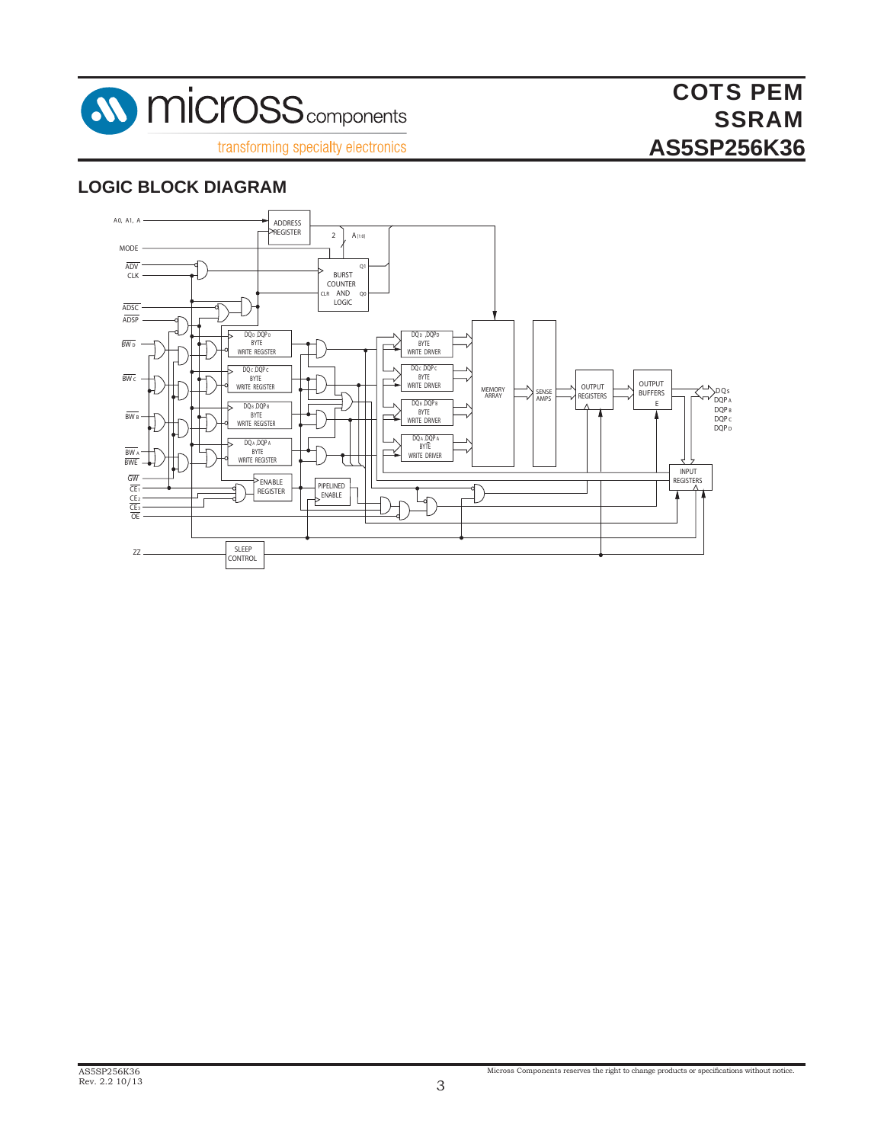

#### **LOGIC BLOCK DIAGRAM**

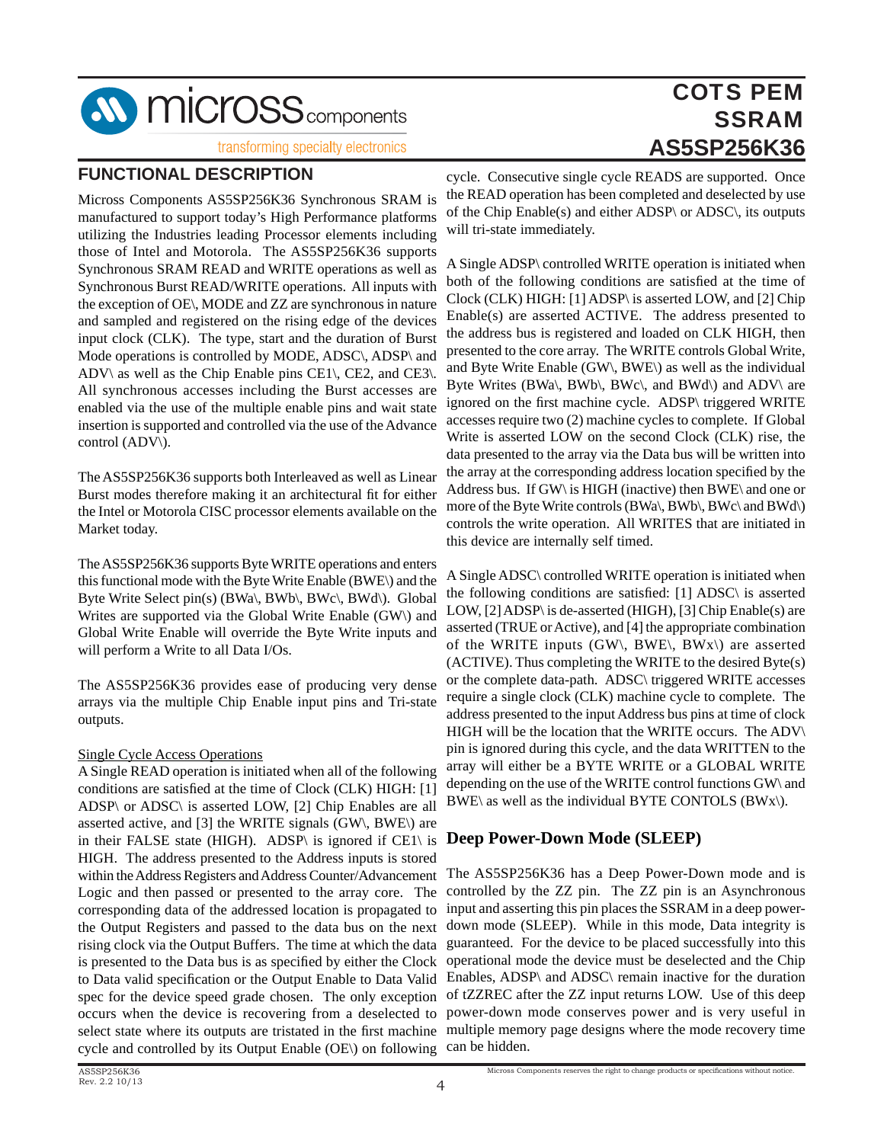**SV MICrOSS** components

transforming specialty electronics

#### **FUNCTIONAL DESCRIPTION**

Micross Components AS5SP256K36 Synchronous SRAM is manufactured to support today's High Performance platforms utilizing the Industries leading Processor elements including those of Intel and Motorola. The AS5SP256K36 supports Synchronous SRAM READ and WRITE operations as well as Synchronous Burst READ/WRITE operations. All inputs with the exception of OE\, MODE and ZZ are synchronous in nature and sampled and registered on the rising edge of the devices input clock (CLK). The type, start and the duration of Burst Mode operations is controlled by MODE, ADSC\, ADSP\ and ADV\ as well as the Chip Enable pins CE1\, CE2, and CE3\. All synchronous accesses including the Burst accesses are enabled via the use of the multiple enable pins and wait state insertion is supported and controlled via the use of the Advance control (ADV\).

The AS5SP256K36 supports both Interleaved as well as Linear Burst modes therefore making it an architectural fit for either the Intel or Motorola CISC processor elements available on the Market today.

The AS5SP256K36 supports Byte WRITE operations and enters this functional mode with the Byte Write Enable (BWE\) and the Byte Write Select pin(s) (BWa\, BWb\, BWc\, BWd\). Global Writes are supported via the Global Write Enable (GW\) and Global Write Enable will override the Byte Write inputs and will perform a Write to all Data I/Os.

The AS5SP256K36 provides ease of producing very dense arrays via the multiple Chip Enable input pins and Tri-state outputs.

#### Single Cycle Access Operations

A Single READ operation is initiated when all of the following conditions are satisfied at the time of Clock (CLK) HIGH: [1] ADSP\ or ADSC\ is asserted LOW, [2] Chip Enables are all asserted active, and [3] the WRITE signals (GW\, BWE\) are in their FALSE state (HIGH). ADSP\ is ignored if CE1\ is HIGH. The address presented to the Address inputs is stored within the Address Registers and Address Counter/Advancement Logic and then passed or presented to the array core. The corresponding data of the addressed location is propagated to the Output Registers and passed to the data bus on the next rising clock via the Output Buffers. The time at which the data is presented to the Data bus is as specified by either the Clock to Data valid specification or the Output Enable to Data Valid spec for the device speed grade chosen. The only exception occurs when the device is recovering from a deselected to select state where its outputs are tristated in the first machine cycle and controlled by its Output Enable (OE\) on following

cycle. Consecutive single cycle READS are supported. Once the READ operation has been completed and deselected by use of the Chip Enable(s) and either ADSP\ or ADSC\, its outputs will tri-state immediately.

A Single ADSP\ controlled WRITE operation is initiated when both of the following conditions are satisfied at the time of Clock (CLK) HIGH: [1] ADSP\ is asserted LOW, and [2] Chip Enable(s) are asserted ACTIVE. The address presented to the address bus is registered and loaded on CLK HIGH, then presented to the core array. The WRITE controls Global Write, and Byte Write Enable (GW\, BWE\) as well as the individual Byte Writes (BWa\, BWb\, BWc\, and BWd\) and ADV\ are ignored on the first machine cycle. ADSP\ triggered WRITE accesses require two (2) machine cycles to complete. If Global Write is asserted LOW on the second Clock (CLK) rise, the data presented to the array via the Data bus will be written into the array at the corresponding address location specified by the Address bus. If GW\ is HIGH (inactive) then BWE\ and one or more of the Byte Write controls (BWa\, BWb\, BWc\ and BWd\) controls the write operation. All WRITES that are initiated in this device are internally self timed.

A Single ADSC\ controlled WRITE operation is initiated when the following conditions are satisfied: [1] ADSC\ is asserted LOW, [2] ADSP\ is de-asserted (HIGH), [3] Chip Enable(s) are asserted (TRUE or Active), and [4] the appropriate combination of the WRITE inputs (GW\, BWE\, BWx\) are asserted (ACTIVE). Thus completing the WRITE to the desired Byte(s) or the complete data-path. ADSC\ triggered WRITE accesses require a single clock (CLK) machine cycle to complete. The address presented to the input Address bus pins at time of clock HIGH will be the location that the WRITE occurs. The ADV\ pin is ignored during this cycle, and the data WRITTEN to the array will either be a BYTE WRITE or a GLOBAL WRITE depending on the use of the WRITE control functions GW\ and BWE\ as well as the individual BYTE CONTOLS  $(BWx)$ ).

#### **Deep Power-Down Mode (SLEEP)**

The AS5SP256K36 has a Deep Power-Down mode and is controlled by the ZZ pin. The ZZ pin is an Asynchronous input and asserting this pin places the SSRAM in a deep powerdown mode (SLEEP). While in this mode, Data integrity is guaranteed. For the device to be placed successfully into this operational mode the device must be deselected and the Chip Enables, ADSP\ and ADSC\ remain inactive for the duration of tZZREC after the ZZ input returns LOW. Use of this deep power-down mode conserves power and is very useful in multiple memory page designs where the mode recovery time can be hidden.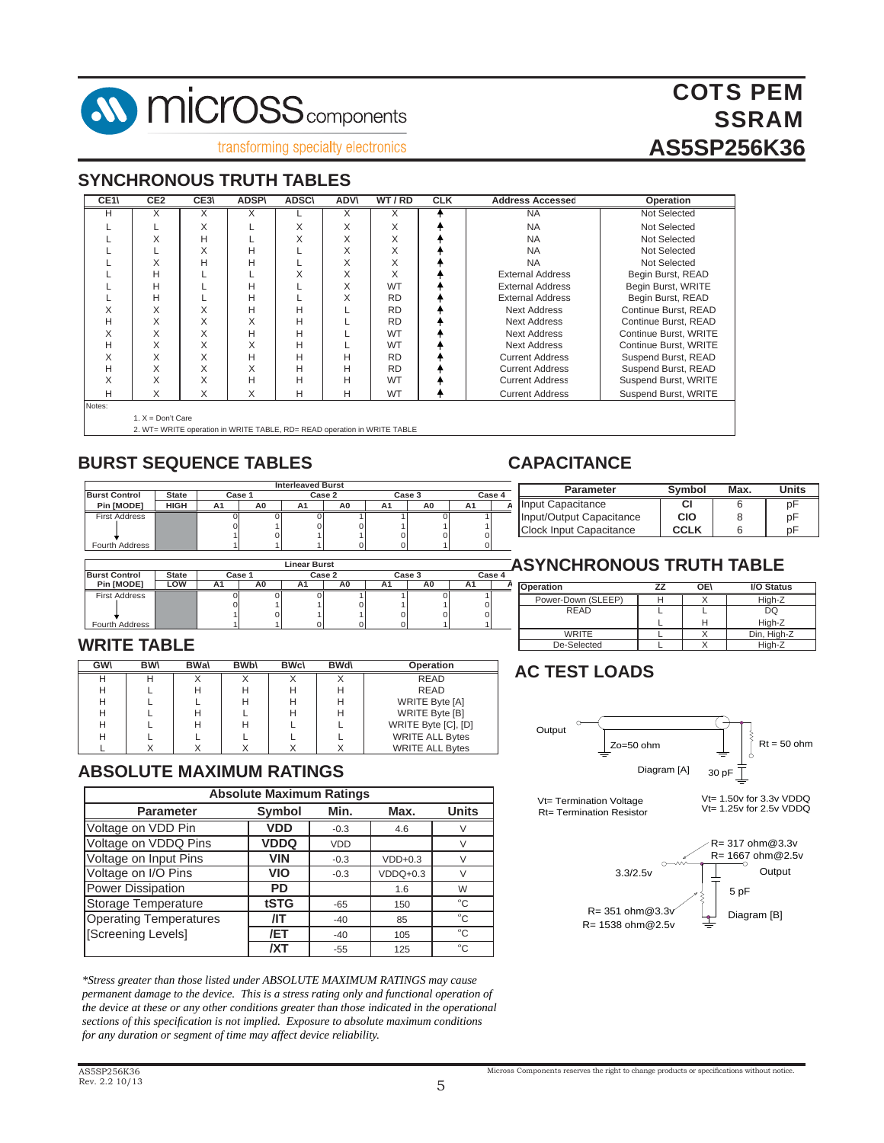

#### **SYNCHRONOUS TRUTH TABLES**

| CE <sub>1</sub> | CE <sub>2</sub>     | CE3\ | <b>ADSP\</b> | <b>ADSC\</b> | <b>ADVV</b> | WT/RD     | <b>CLK</b> | <b>Address Accessed</b> | Operation             |
|-----------------|---------------------|------|--------------|--------------|-------------|-----------|------------|-------------------------|-----------------------|
| н               | X                   | Χ    | Χ            |              | X           | X         |            | <b>NA</b>               | Not Selected          |
|                 |                     | X    |              | X            | X           | X         |            | <b>NA</b>               | Not Selected          |
|                 | X                   | н    |              | X            | X           | X         |            | <b>NA</b>               | Not Selected          |
|                 |                     | X    | H            |              | X           | X         |            | <b>NA</b>               | Not Selected          |
|                 | X                   | Н    | Н            |              | X           | X         |            | <b>NA</b>               | Not Selected          |
|                 | н                   |      |              | X            | X           | X         |            | <b>External Address</b> | Begin Burst, READ     |
|                 | Н                   |      | Н            |              | X           | <b>WT</b> |            | <b>External Address</b> | Begin Burst, WRITE    |
|                 | н                   |      | H            |              | X           | <b>RD</b> |            | <b>External Address</b> | Begin Burst, READ     |
| X               | X                   | X    | Н            | Н            |             | <b>RD</b> |            | Next Address            | Continue Burst, READ  |
| н               | X                   | X    | X            | Н            |             | <b>RD</b> |            | Next Address            | Continue Burst, READ  |
| X               | X                   | X    | H            | Н            |             | <b>WT</b> |            | Next Address            | Continue Burst, WRITE |
| н               | X                   | X    | X            | Н            |             | <b>WT</b> |            | Next Address            | Continue Burst, WRITE |
| X               | X                   | X    | Н            | Н            | Н           | <b>RD</b> |            | <b>Current Address</b>  | Suspend Burst, READ   |
| Н               | X                   | X    | X            | Н            | Н           | <b>RD</b> |            | <b>Current Address</b>  | Suspend Burst, READ   |
| X               | X                   | X    | H            | Н            | Н           | <b>WT</b> |            | <b>Current Address</b>  | Suspend Burst, WRITE  |
| н               | X                   | X    | X            | Н            | Н           | <b>WT</b> |            | <b>Current Address</b>  | Suspend Burst, WRITE  |
| Notes:          |                     |      |              |              |             |           |            |                         |                       |
|                 | 1. $X = Don't Care$ |      |              |              |             |           |            |                         |                       |

2. WT= WRITE operation in WRITE TABLE, RD= READ operation in WRITE TABLE

#### **BURST SEQUENCE TABLES**

|                      |              |        |    | <b>Interleaved Burst</b> |        |    |        |        |  |
|----------------------|--------------|--------|----|--------------------------|--------|----|--------|--------|--|
| <b>Burst Control</b> | <b>State</b> | Case 1 |    |                          | Case 2 |    | Case 3 | Case 4 |  |
| Pin [MODE]           | <b>HIGH</b>  | A1     | A0 | Αı                       | A0     | A1 | ΑU     | A1     |  |
| <b>First Address</b> |              |        |    |                          |        |    |        |        |  |
|                      |              |        |    |                          |        |    |        |        |  |
|                      |              |        |    |                          |        |    |        |        |  |
| Fourth Address       |              |        |    |                          |        |    |        |        |  |

|                       | <b>Linear Burst</b> |        |    |    |        |    |        |    |        |  |
|-----------------------|---------------------|--------|----|----|--------|----|--------|----|--------|--|
| <b>Burst Control</b>  | <b>State</b>        | Case 1 |    |    | Case 2 |    | Case 3 |    | Case 4 |  |
| Pin [MODE]            | LOW                 | Α1     | A0 | Αı | A0     | A1 | A0     |    |        |  |
| <b>First Address</b>  |                     |        |    |    |        |    |        |    |        |  |
|                       |                     |        |    |    |        |    |        | 0  |        |  |
|                       |                     |        |    |    |        |    |        | ΩI |        |  |
| <b>Fourth Address</b> |                     |        |    |    |        |    |        |    |        |  |

#### **WRITE TABLE**

| GW | <b>BW</b> | <b>BWa</b> | <b>BWb\</b> | <b>BWc\</b> | <b>BWd</b> | <b>Operation</b>       |
|----|-----------|------------|-------------|-------------|------------|------------------------|
| Н  | н         |            |             |             |            | <b>READ</b>            |
| Н  |           | н          | н           | Н           | н          | <b>READ</b>            |
| Н  |           |            | н           | Н           | н          | <b>WRITE Byte [A]</b>  |
| н  |           | н          |             | н           | н          | WRITE Byte [B]         |
| Н  |           | Н          | Н           |             |            | WRITE Byte [C], [D]    |
| Н  |           |            |             |             |            | <b>WRITE ALL Bytes</b> |
|    |           |            |             |             |            | <b>WRITE ALL Bytes</b> |

#### **ABSOLUTE MAXIMUM RATINGS**

|                               | <b>Absolute Maximum Ratings</b> |            |            |              |  |  |  |  |  |  |  |
|-------------------------------|---------------------------------|------------|------------|--------------|--|--|--|--|--|--|--|
| <b>Parameter</b>              | <b>Symbol</b>                   | Min.       | Max.       | <b>Units</b> |  |  |  |  |  |  |  |
| Voltage on VDD Pin            | VDD                             | $-0.3$     | 4.6        |              |  |  |  |  |  |  |  |
| Voltage on VDDQ Pins          | VDDQ                            | <b>VDD</b> |            |              |  |  |  |  |  |  |  |
| Voltage on Input Pins         | <b>VIN</b>                      | $-0.3$     | $VDD+0.3$  |              |  |  |  |  |  |  |  |
| Voltage on I/O Pins           | VIO                             | $-0.3$     | $VDDQ+0.3$ | $\vee$       |  |  |  |  |  |  |  |
| Power Dissipation             | <b>PD</b>                       |            | 1.6        | W            |  |  |  |  |  |  |  |
| Storage Temperature           | tSTG                            | $-65$      | 150        | $^{\circ}C$  |  |  |  |  |  |  |  |
| <b>Operating Temperatures</b> | /IT                             | $-40$      | 85         | $^{\circ}C$  |  |  |  |  |  |  |  |
| [Screening Levels]            | /ET                             | $-40$      | 105        | $^{\circ}C$  |  |  |  |  |  |  |  |
|                               | /XT                             | $-55$      | 125        | $^{\circ}C$  |  |  |  |  |  |  |  |

*\*Stress greater than those listed under ABSOLUTE MAXIMUM RATINGS may cause permanent damage to the device. This is a stress rating only and functional operation of the device at these or any other conditions greater than those indicated in the operational sections of this specifi cation is not implied. Exposure to absolute maximum conditions for any duration or segment of time may affect device reliability.*

#### **CAPACITANCE**

| <b>Parameter</b>         | Symbol      | Max. | Units |
|--------------------------|-------------|------|-------|
| Input Capacitance        | СI          |      | D۲    |
| Input/Output Capacitance | CIO         |      | рF    |
| Clock Input Capacitance  | <b>CCLK</b> |      | า⊢    |
|                          |             |      |       |

#### **ASYNCHRONOUS TRUTH TABLE**

| Operation          | 77 | OE۱ | I/O Status  |
|--------------------|----|-----|-------------|
| Power-Down (SLEEP) |    |     | High-Z      |
| <b>READ</b>        |    |     | DQ          |
|                    |    | н   | High-Z      |
| <b>WRITE</b>       |    |     | Din, High-Z |
| De-Selected        |    |     | High-Z      |

## **AC TEST LOADS**





#### AS5SP256K36 Rev. 2.2 10/13

## COTS PEM **SSRAM AS5SP256K36**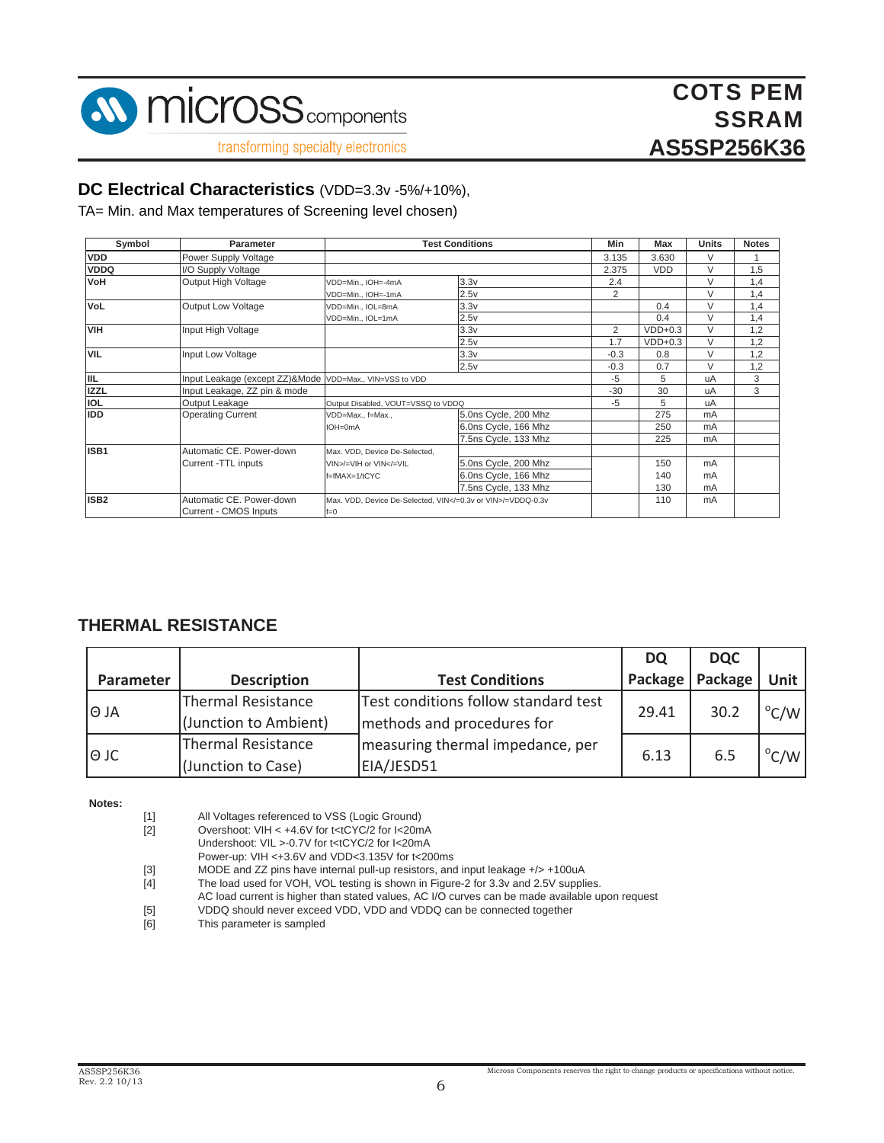

#### **DC Electrical Characteristics** (VDD=3.3v -5%/+10%),

TA= Min. and Max temperatures of Screening level chosen)

| Symbol                           | <b>Parameter</b>                                        | <b>Test Conditions</b>                                                                               | <b>Min</b>           | Max            | <b>Units</b> | <b>Notes</b>   |     |
|----------------------------------|---------------------------------------------------------|------------------------------------------------------------------------------------------------------|----------------------|----------------|--------------|----------------|-----|
| <b>VDD</b>                       | Power Supply Voltage                                    |                                                                                                      |                      | 3.135          | 3.630        | V              |     |
| <b>VDDQ</b>                      | I/O Supply Voltage                                      |                                                                                                      |                      | 2.375          | <b>VDD</b>   | V              | 1,5 |
| VoH                              | Output High Voltage                                     | VDD=Min., IOH=-4mA                                                                                   | 3.3v                 | 2.4            |              | V              | 1,4 |
|                                  |                                                         | VDD=Min., IOH=-1mA                                                                                   | 2.5v                 | $\overline{2}$ |              | V              | 1,4 |
| <b>VoL</b>                       | <b>Output Low Voltage</b>                               | VDD=Min., IOL=8mA                                                                                    | 3.3v                 |                | 0.4          | V              | 1,4 |
|                                  |                                                         | VDD=Min., IOL=1mA                                                                                    | 2.5v                 |                | 0.4          | V              | 1,4 |
| <b>VIH</b><br>Input High Voltage |                                                         |                                                                                                      | 3.3v                 | 2              | $VDD+0.3$    | V              | 1,2 |
|                                  |                                                         |                                                                                                      | 2.5v                 | 1.7            | $VDD+0.3$    | $\vee$         | 1,2 |
| <b>VIL</b>                       | Input Low Voltage                                       |                                                                                                      | 3.3v                 | $-0.3$         | 0.8          | V              | 1,2 |
|                                  |                                                         |                                                                                                      | 2.5v                 | $-0.3$         | 0.7          | V              | 1,2 |
| <b>IIL</b>                       | Input Leakage (except ZZ)&Mode VDD=Max., VIN=VSS to VDD |                                                                                                      | $-5$                 | 5              | uA           | 3              |     |
| <b>IZZL</b>                      | Input Leakage, ZZ pin & mode                            |                                                                                                      |                      | $-30$          | 30           | uA             | 3   |
| <b>IOL</b>                       | Output Leakage                                          | Output Disabled, VOUT=VSSQ to VDDQ                                                                   |                      | $-5$           | 5            | uA             |     |
| <b>IDD</b>                       | <b>Operating Current</b>                                | VDD=Max., f=Max.,                                                                                    | 5.0ns Cycle, 200 Mhz |                | 275          | m <sub>A</sub> |     |
|                                  |                                                         | IOH=0mA                                                                                              | 6.0ns Cycle, 166 Mhz |                | 250          | m <sub>A</sub> |     |
|                                  |                                                         |                                                                                                      | 7.5ns Cycle, 133 Mhz |                | 225          | mA             |     |
| ISB1                             | Automatic CE. Power-down                                | Max. VDD, Device De-Selected,                                                                        |                      |                |              |                |     |
|                                  | Current -TTL inputs                                     | VIN>/=VIH or VIN =VIL</td <td>5.0ns Cycle, 200 Mhz</td> <td></td> <td>150</td> <td>mA</td> <td></td> | 5.0ns Cycle, 200 Mhz |                | 150          | mA             |     |
|                                  |                                                         | f=fMAX=1/tCYC                                                                                        | 6.0ns Cycle, 166 Mhz |                | 140          | m <sub>A</sub> |     |
|                                  |                                                         |                                                                                                      | 7.5ns Cycle, 133 Mhz |                | 130          | mA             |     |
| ISB <sub>2</sub>                 | Automatic CE. Power-down                                | Max, VDD, Device De-Selected, VIN =0.3y or VIN /=VDDQ-0.3y                                           |                      |                | 110          | mA             |     |
|                                  | Current - CMOS Inputs                                   | $f=0$                                                                                                |                      |                |              |                |     |

#### **THERMAL RESISTANCE**

|             |                           |                                      | <b>DQ</b> | <b>DQC</b>        |                |
|-------------|---------------------------|--------------------------------------|-----------|-------------------|----------------|
| Parameter   | <b>Description</b>        | <b>Test Conditions</b>               |           | Package   Package | Unit           |
|             | <b>Thermal Resistance</b> | Test conditions follow standard test | 29.41     | 30.2              |                |
| l⊖ JA       | (Junction to Ambient)     | methods and procedures for           |           |                   | $\mathrm{C/W}$ |
|             | <b>Thermal Resistance</b> | measuring thermal impedance, per     |           |                   |                |
| $\Theta$ JC | (Junction to Case)        | EIA/JESD51                           | 6.13      | 6.5               | $\mathrm{C/W}$ |

**Notes:**

- [1] All Voltages referenced to VSS (Logic Ground)
- [2] Overshoot: VIH < +4.6V for t<tCYC/2 for I<20mA
- Undershoot: VIL >-0.7V for t<tCYC/2 for I<20mA
	- Power-up: VIH <+3.6V and VDD<3.135V for t<200ms
- [3] MODE and ZZ pins have internal pull-up resistors, and input leakage +/> +100uA
- [4] The load used for VOH, VOL testing is shown in Figure-2 for 3.3v and 2.5V supplies.
- AC load current is higher than stated values, AC I/O curves can be made available upon request
- [5] VDDQ should never exceed VDD, VDD and VDDQ can be connected together
- [6] This parameter is sampled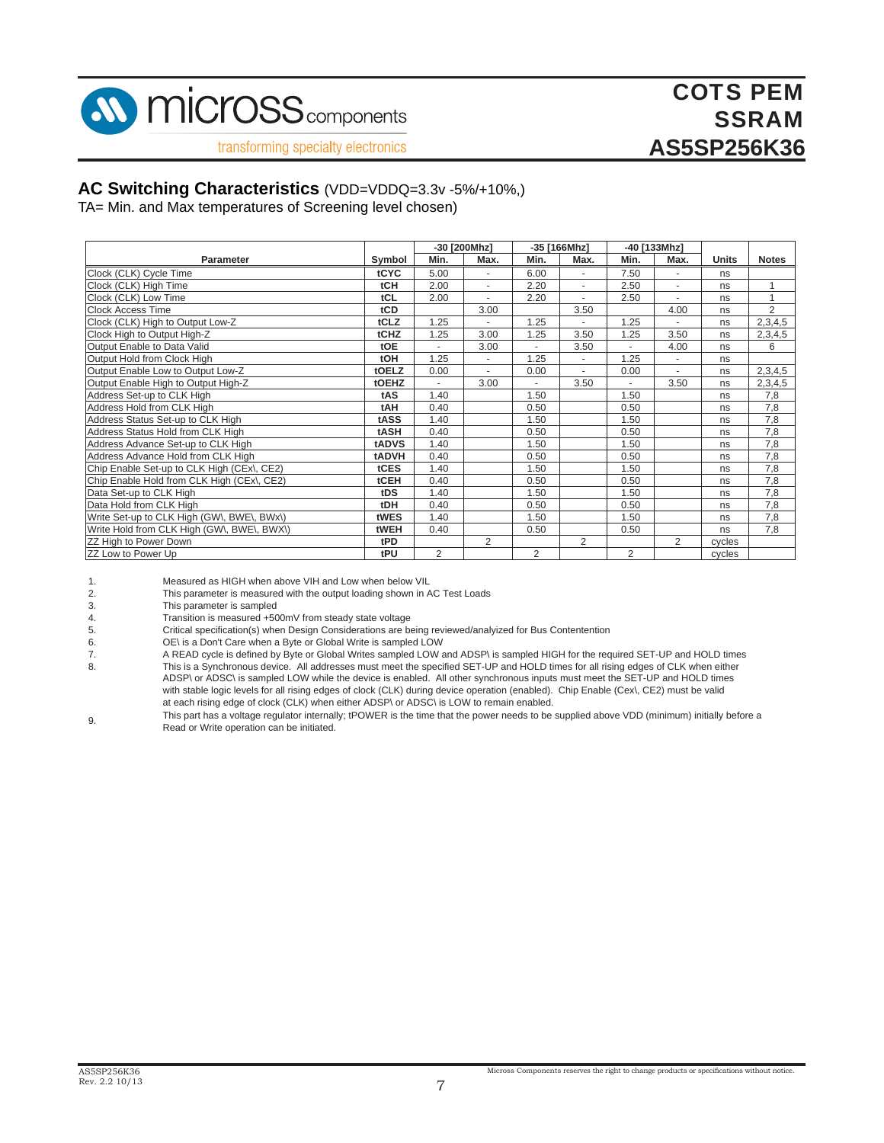

## COTS PEM **SSRAM AS5SP256K36**

transforming specialty electronics

#### **AC Switching Characteristics** (VDD=VDDQ=3.3v -5%/+10%,)

TA= Min. and Max temperatures of Screening level chosen)

|                                            |            |                | -30 [200Mhz]             |                | -35 [166Mhz] |                | -40 [133Mhz]   |        |                |
|--------------------------------------------|------------|----------------|--------------------------|----------------|--------------|----------------|----------------|--------|----------------|
| Parameter                                  | Symbol     | Min.           | Max.                     | Min.           | Max.         | Min.           | Max.           | Units  | <b>Notes</b>   |
| Clock (CLK) Cycle Time                     | tCYC       | 5.00           | $\overline{\phantom{a}}$ | 6.00           | ٠            | 7.50           | ٠              | ns     |                |
| Clock (CLK) High Time                      | tCH        | 2.00           | ٠                        | 2.20           | ٠            | 2.50           | ٠              | ns     |                |
| Clock (CLK) Low Time                       | tCL        | 2.00           |                          | 2.20           |              | 2.50           |                | ns     |                |
| <b>Clock Access Time</b>                   | tCD        |                | 3.00                     |                | 3.50         |                | 4.00           | ns     | $\overline{2}$ |
| Clock (CLK) High to Output Low-Z           | tCLZ       | 1.25           | $\blacksquare$           | 1.25           | $\sim$       | 1.25           | ٠              | ns     | 2,3,4,5        |
| Clock High to Output High-Z                | tCHZ       | 1.25           | 3.00                     | 1.25           | 3.50         | 1.25           | 3.50           | ns     | 2,3,4,5        |
| Output Enable to Data Valid                | tOE        |                | 3.00                     |                | 3.50         |                | 4.00           | ns     | 6              |
| Output Hold from Clock High                | tOH        | 1.25           | $\frac{1}{2}$            | 1.25           |              | 1.25           |                | ns     |                |
| Output Enable Low to Output Low-Z          | tOELZ      | 0.00           | $\overline{a}$           | 0.00           | $\sim$       | 0.00           | ٠              | ns     | 2,3,4,5        |
| Output Enable High to Output High-Z        | tOEHZ      | ÷,             | 3.00                     | ä,             | 3.50         | ٠              | 3.50           | ns     | 2,3,4,5        |
| Address Set-up to CLK High                 | tAS        | 1.40           |                          | 1.50           |              | 1.50           |                | ns     | 7,8            |
| Address Hold from CLK High                 | tAH        | 0.40           |                          | 0.50           |              | 0.50           |                | ns     | 7,8            |
| Address Status Set-up to CLK High          | tASS       | 1.40           |                          | 1.50           |              | 1.50           |                | ns     | 7,8            |
| Address Status Hold from CLK High          | tASH       | 0.40           |                          | 0.50           |              | 0.50           |                | ns     | 7,8            |
| Address Advance Set-up to CLK High         | tADVS      | 1.40           |                          | 1.50           |              | 1.50           |                | ns     | 7,8            |
| Address Advance Hold from CLK High         | tADVH      | 0.40           |                          | 0.50           |              | 0.50           |                | ns     | 7,8            |
| Chip Enable Set-up to CLK High (CEx\, CE2) | tCES       | 1.40           |                          | 1.50           |              | 1.50           |                | ns     | 7,8            |
| Chip Enable Hold from CLK High (CEx), CE2) | tCEH       | 0.40           |                          | 0.50           |              | 0.50           |                | ns     | 7,8            |
| Data Set-up to CLK High                    | tDS        | 1.40           |                          | 1.50           |              | 1.50           |                | ns     | 7,8            |
| Data Hold from CLK High                    | <b>tDH</b> | 0.40           |                          | 0.50           |              | 0.50           |                | ns     | 7,8            |
| Write Set-up to CLK High (GW\, BWE\, BWx\) | tWES       | 1.40           |                          | 1.50           |              | 1.50           |                | ns     | 7,8            |
| Write Hold from CLK High (GW\, BWE\, BWX\) | tWEH       | 0.40           |                          | 0.50           |              | 0.50           |                | ns     | 7,8            |
| ZZ High to Power Down                      | tPD        |                | 2                        |                | 2            |                | $\overline{2}$ | cycles |                |
| ZZ Low to Power Up                         | tPU        | $\overline{2}$ |                          | $\overline{2}$ |              | $\overline{2}$ |                | cycles |                |

| Measured as HIGH when above VIH and Low when below VIL |  |
|--------------------------------------------------------|--|
|--------------------------------------------------------|--|

2. This parameter is measured with the output loading shown in AC Test Loads

3. This parameter is sampled<br>4. Transition is measured +50

4. Transition is measured +500mV from steady state voltage<br>5. Critical specification(s) when Design Considerations are be

5. Critical specification(s) when Design Considerations are being reviewed/analyized for Bus Contentention<br>6. CDC is a Don't Care when a Byte or Global Write is sampled LOW

OE\ is a Don't Care when a Byte or Global Write is sampled LOW

7. A READ cycle is defined by Byte or Global Writes sampled LOW and ADSP\ is sampled HIGH for the required SET-UP and HOLD times<br>8. This is a Synchronous device. All addresses must meet the specified SET-UP and HOLD times This is a Synchronous device. All addresses must meet the specified SET-UP and HOLD times for all rising edges of CLK when either ADSP\ or ADSC\ is sampled LOW while the device is enabled. All other synchronous inputs must meet the SET-UP and HOLD times with stable logic levels for all rising edges of clock (CLK) during device operation (enabled). Chip Enable (Cex\, CE2) must be valid at each rising edge of clock (CLK) when either ADSP\ or ADSC\ is LOW to remain enabled.

9. This part has a voltage regulator internally; tPOWER is the time that the power needs to be supplied above VDD (minimum) initially before a Read or Write operation can be initiated.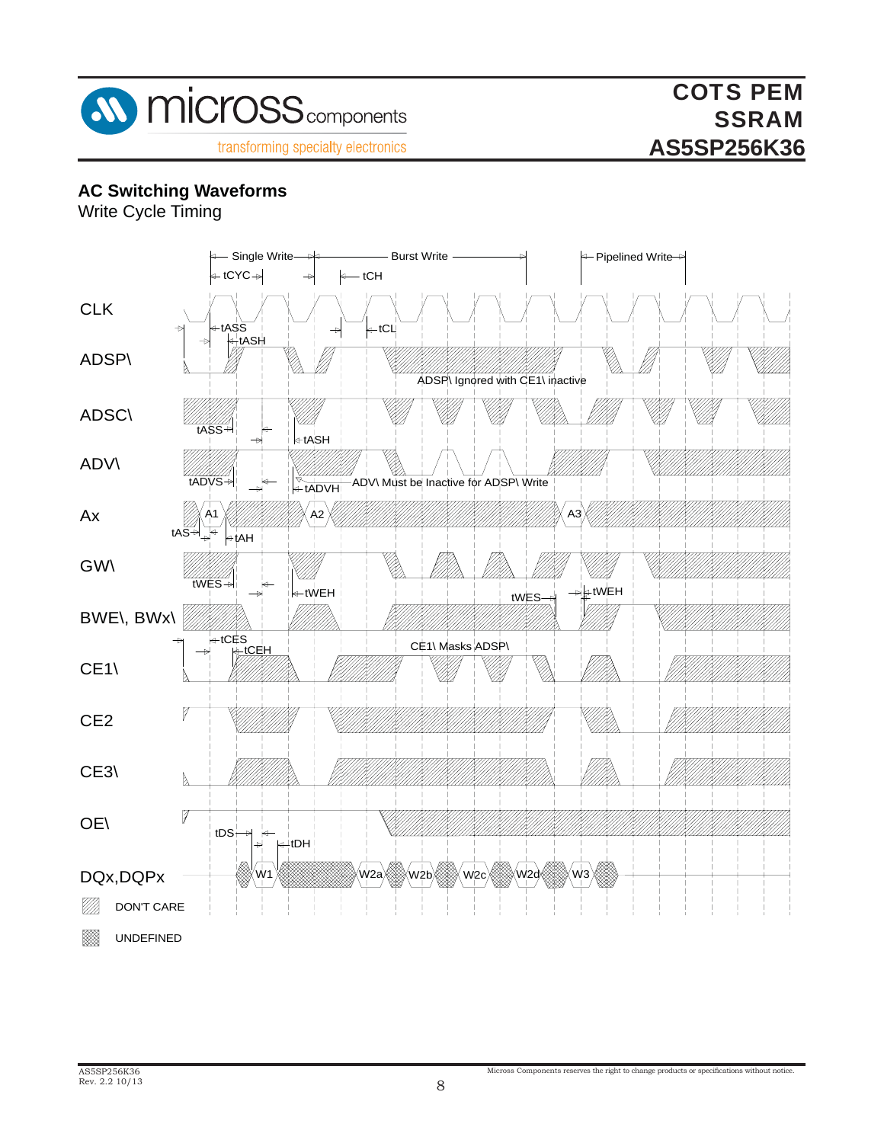

#### **AC Switching Waveforms**

Write Cycle Timing

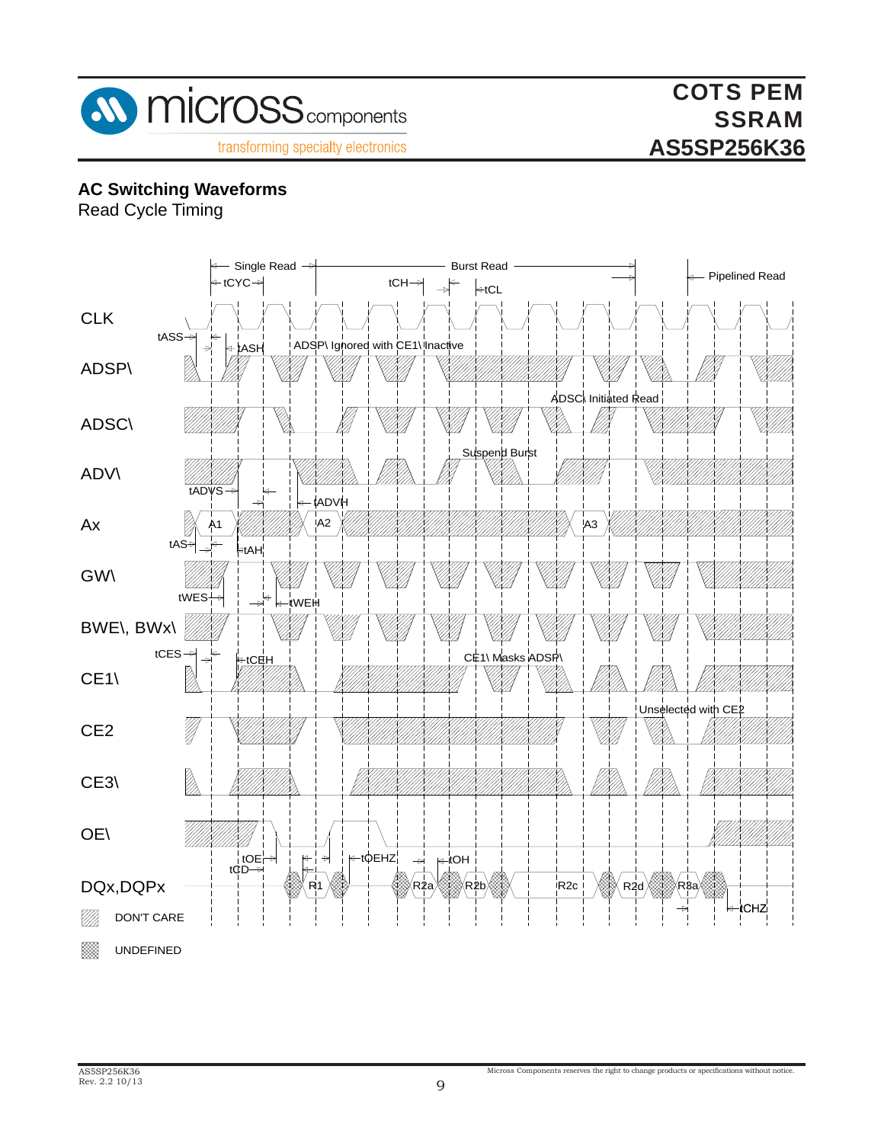

#### **AC Switching Waveforms**

Read Cycle Timing

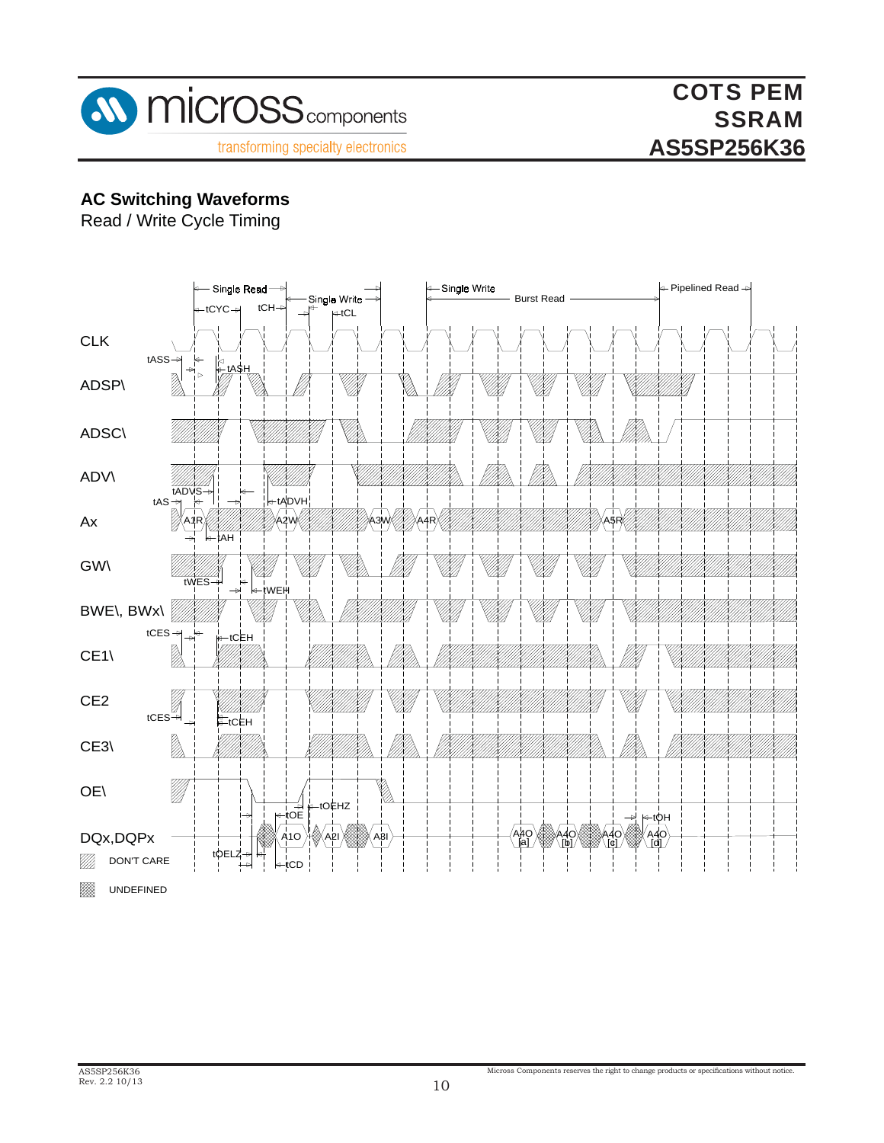

### **AC Switching Waveforms**

Read / Write Cycle Timing

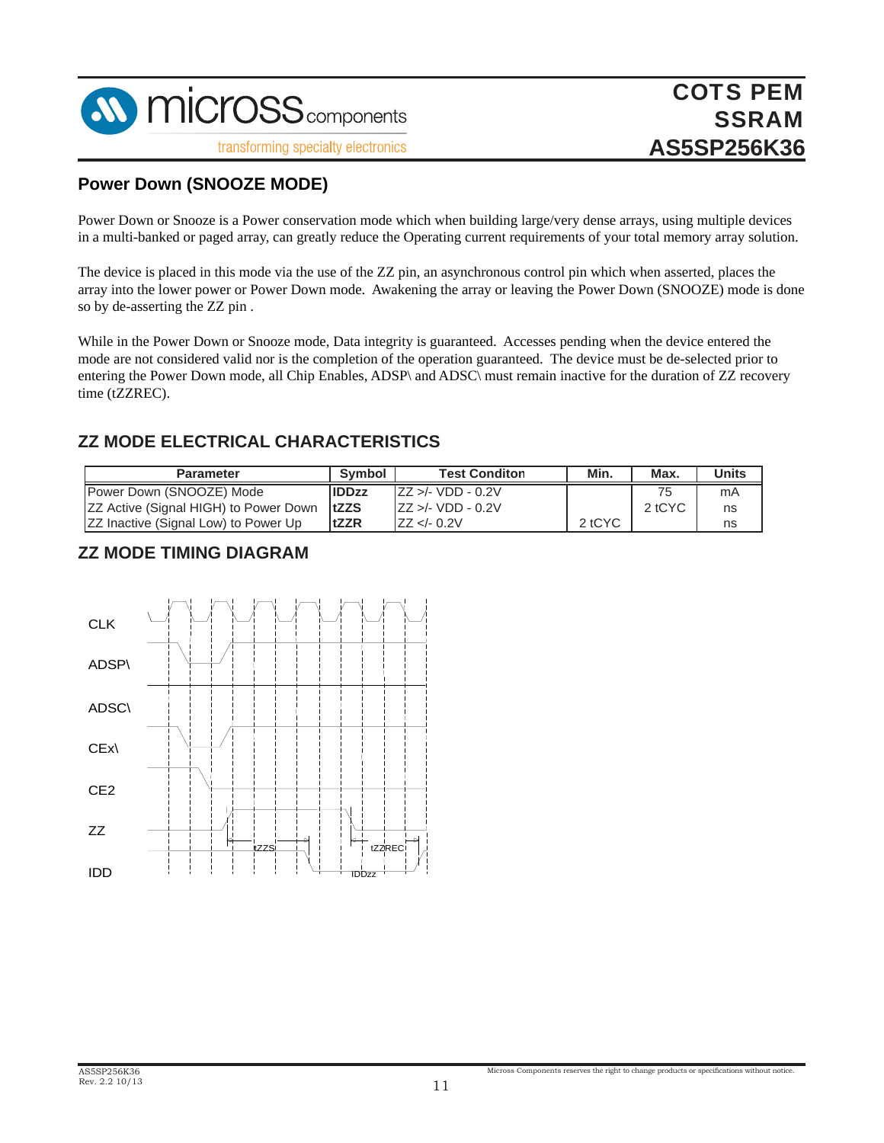

#### **Power Down (SNOOZE MODE)**

Power Down or Snooze is a Power conservation mode which when building large/very dense arrays, using multiple devices in a multi-banked or paged array, can greatly reduce the Operating current requirements of your total memory array solution.

The device is placed in this mode via the use of the ZZ pin, an asynchronous control pin which when asserted, places the array into the lower power or Power Down mode. Awakening the array or leaving the Power Down (SNOOZE) mode is done so by de-asserting the ZZ pin .

While in the Power Down or Snooze mode, Data integrity is guaranteed. Accesses pending when the device entered the mode are not considered valid nor is the completion of the operation guaranteed. The device must be de-selected prior to entering the Power Down mode, all Chip Enables, ADSP\ and ADSC\ must remain inactive for the duration of ZZ recovery time (tZZREC).

#### **ZZ MODE ELECTRICAL CHARACTERISTICS**

| <b>Parameter</b>                                    | Symbol       | <b>Test Conditon</b> | Min.   | Max    | <b>Units</b> |
|-----------------------------------------------------|--------------|----------------------|--------|--------|--------------|
| <b>IPower Down (SNOOZE) Mode</b>                    | <b>IDDzz</b> | ZZ >/- VDD - 0.2V    |        | 75     | mA           |
| <b>ZZ Active (Signal HIGH) to Power Down   tZZS</b> |              | $IZZ > - VDD - 0.2V$ |        | 2 tCYC | ns           |
| <b>ZZ Inactive (Signal Low) to Power Up</b>         | tZZR         | ZZ < 0.2V            | 2 tCYC |        | ns           |

#### **ZZ MODE TIMING DIAGRAM**

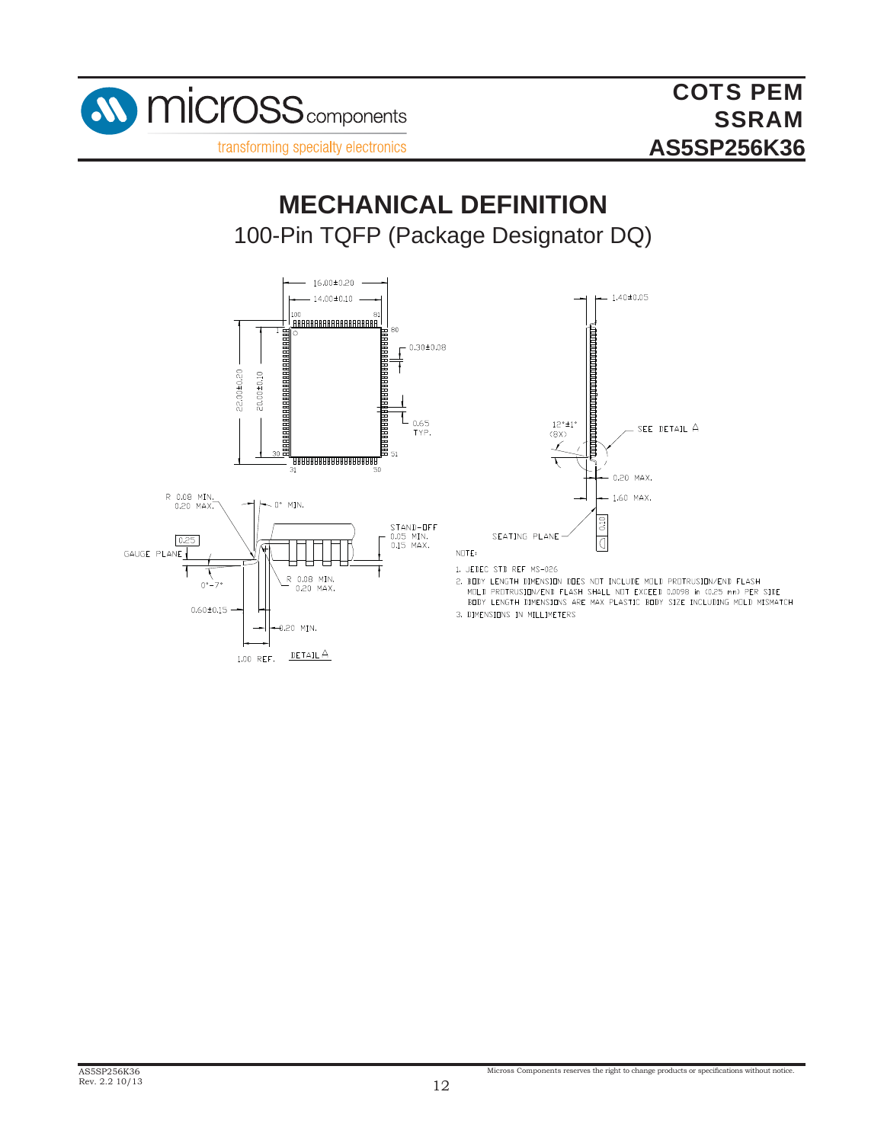

# 100-Pin TQFP (Package Designator DQ) **MECHANICAL DEFINITION**





NOTE:

- 1. JEDEC STD REF MS-026
- 2. BODY LENGTH DIMENSION DOES NOT INCLUDE MOLD PROTRUSION/END FLASH MOLD PROTRUSION/END FLASH SHALL NOT EXCEED 0.0098 in (0.25 mm) PER SIDE BODY LENGTH DIMENSIONS ARE MAX PLASTIC BODY SIZE INCLUDING MOLD MISMATCH
- 3. DIMENSIONS IN MILLIMETERS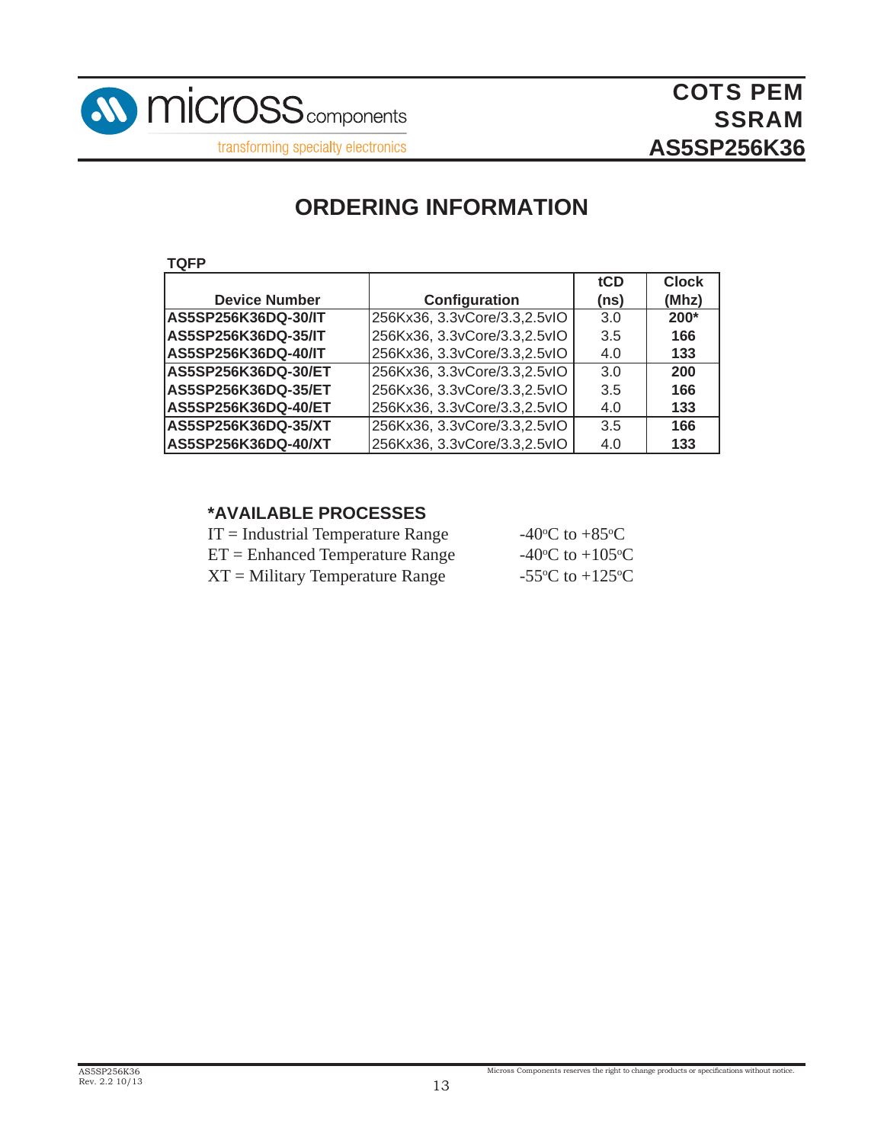

## **ORDERING INFORMATION**

**TQFP**

|                      |                               | tCD  | <b>Clock</b> |
|----------------------|-------------------------------|------|--------------|
| <b>Device Number</b> | Configuration                 | (ns) | (Mhz)        |
| AS5SP256K36DQ-30/IT  | 256Kx36, 3.3vCore/3.3,2.5vIO  | 3.0  | $200*$       |
| AS5SP256K36DQ-35/IT  | 256Kx36, 3.3vCore/3.3, 2.5vlO | 3.5  | 166          |
| AS5SP256K36DQ-40/IT  | 256Kx36, 3.3vCore/3.3, 2.5vIO | 4.0  | 133          |
| AS5SP256K36DQ-30/ET  | 256Kx36, 3.3vCore/3.3,2.5vIO  | 3.0  | 200          |
| AS5SP256K36DQ-35/ET  | 256Kx36, 3.3vCore/3.3, 2.5vIO | 3.5  | 166          |
| AS5SP256K36DQ-40/ET  | 256Kx36, 3.3vCore/3.3, 2.5vIO | 4.0  | 133          |
| AS5SP256K36DQ-35/XT  | 256Kx36, 3.3vCore/3.3,2.5vIO  | 3.5  | 166          |
| AS5SP256K36DQ-40/XT  | 256Kx36, 3.3vCore/3.3, 2.5vIO | 4.0  | 133          |

#### **\*AVAILABLE PROCESSES**

| $IT = Industrial Temperature Range$ | -40 <sup>o</sup> C to +85 <sup>o</sup> C      |
|-------------------------------------|-----------------------------------------------|
| $ET =$ Enhanced Temperature Range   | -40 $\rm{^{\circ}C}$ to +105 $\rm{^{\circ}C}$ |
| $XT =$ Military Temperature Range   | -55 $\rm{^{\circ}C}$ to +125 $\rm{^{\circ}C}$ |